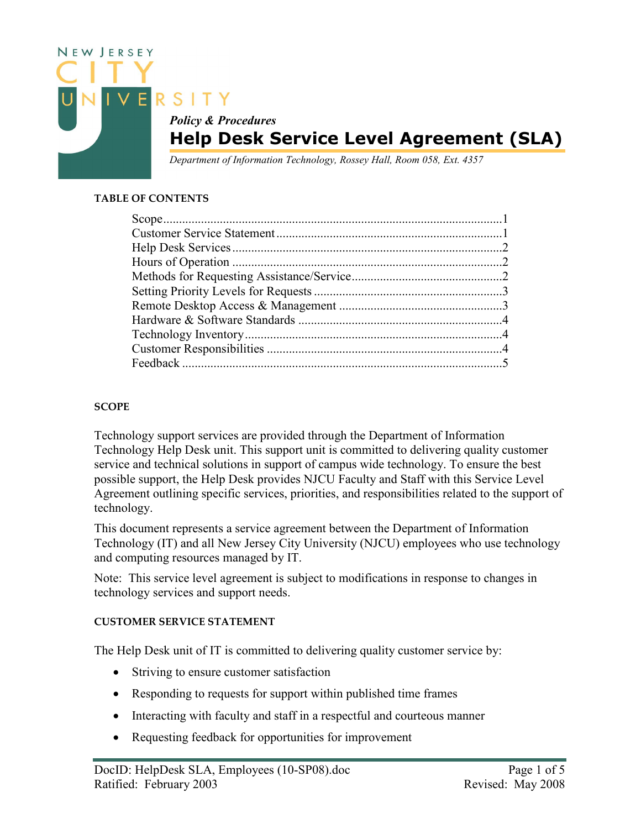

### TABLE OF CONTENTS

## **SCOPE**

Technology support services are provided through the Department of Information Technology Help Desk unit. This support unit is committed to delivering quality customer service and technical solutions in support of campus wide technology. To ensure the best possible support, the Help Desk provides NJCU Faculty and Staff with this Service Level Agreement outlining specific services, priorities, and responsibilities related to the support of technology.

This document represents a service agreement between the Department of Information Technology (IT) and all New Jersey City University (NJCU) employees who use technology and computing resources managed by IT.

Note: This service level agreement is subject to modifications in response to changes in technology services and support needs.

### CUSTOMER SERVICE STATEMENT

The Help Desk unit of IT is committed to delivering quality customer service by:

- Striving to ensure customer satisfaction
- Responding to requests for support within published time frames
- Interacting with faculty and staff in a respectful and courteous manner
- Requesting feedback for opportunities for improvement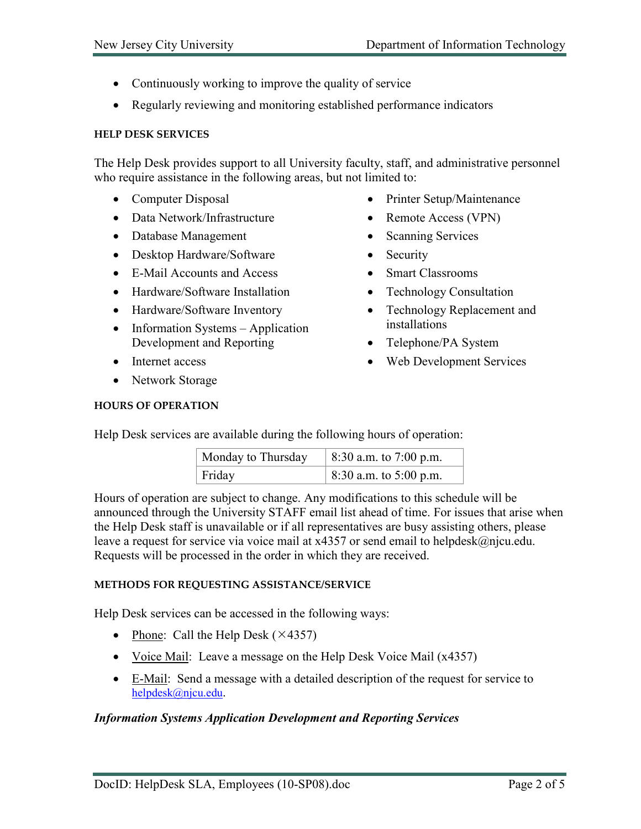- Continuously working to improve the quality of service
- Regularly reviewing and monitoring established performance indicators

### HELP DESK SERVICES

The Help Desk provides support to all University faculty, staff, and administrative personnel who require assistance in the following areas, but not limited to:

- Computer Disposal
- Data Network/Infrastructure
- Database Management
- Desktop Hardware/Software
- E-Mail Accounts and Access
- Hardware/Software Installation
- Hardware/Software Inventory
- Information Systems Application Development and Reporting
- Internet access
- Network Storage
- Printer Setup/Maintenance
- Remote Access (VPN)
- Scanning Services
- Security
- Smart Classrooms
- Technology Consultation
- Technology Replacement and installations
- Telephone/PA System
- Web Development Services

## HOURS OF OPERATION

Help Desk services are available during the following hours of operation:

| Monday to Thursday | 8:30 a.m. to 7:00 p.m. |
|--------------------|------------------------|
| Friday             | 8:30 a.m. to 5:00 p.m. |

Hours of operation are subject to change. Any modifications to this schedule will be announced through the University STAFF email list ahead of time. For issues that arise when the Help Desk staff is unavailable or if all representatives are busy assisting others, please leave a request for service via voice mail at x4357 or send email to helpdesk@njcu.edu. Requests will be processed in the order in which they are received.

### METHODS FOR REQUESTING ASSISTANCE/SERVICE

Help Desk services can be accessed in the following ways:

- Phone: Call the Help Desk  $(\times 4357)$
- Voice Mail: Leave a message on the Help Desk Voice Mail (x4357)
- E-Mail: Send a message with a detailed description of the request for service to helpdesk@njcu.edu.

### Information Systems Application Development and Reporting Services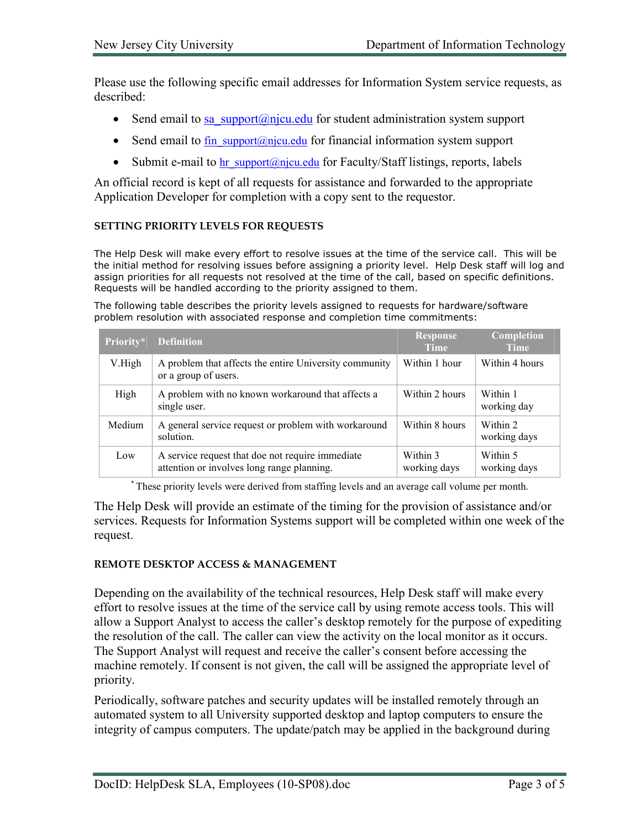Please use the following specific email addresses for Information System service requests, as described:

- Send email to sa support@njcu.edu for student administration system support
- Send email to fin support@njcu.edu for financial information system support
- Submit e-mail to hr support@njcu.edu for Faculty/Staff listings, reports, labels

An official record is kept of all requests for assistance and forwarded to the appropriate Application Developer for completion with a copy sent to the requestor.

### SETTING PRIORITY LEVELS FOR REQUESTS

The Help Desk will make every effort to resolve issues at the time of the service call. This will be the initial method for resolving issues before assigning a priority level. Help Desk staff will log and assign priorities for all requests not resolved at the time of the call, based on specific definitions. Requests will be handled according to the priority assigned to them.

The following table describes the priority levels assigned to requests for hardware/software problem resolution with associated response and completion time commitments:

| Priority* | <b>Definition</b>                                                                              | <b>Response</b><br><b>Time</b> | Completion<br><b>Time</b> |
|-----------|------------------------------------------------------------------------------------------------|--------------------------------|---------------------------|
| V.High    | A problem that affects the entire University community<br>or a group of users.                 | Within 1 hour                  | Within 4 hours            |
| High      | A problem with no known workaround that affects a<br>single user.                              | Within 2 hours                 | Within 1<br>working day   |
| Medium    | A general service request or problem with workaround<br>solution.                              | Within 8 hours                 | Within 2<br>working days  |
| Low       | A service request that doe not require immediate<br>attention or involves long range planning. | Within 3<br>working days       | Within 5<br>working days  |

\* These priority levels were derived from staffing levels and an average call volume per month.

The Help Desk will provide an estimate of the timing for the provision of assistance and/or services. Requests for Information Systems support will be completed within one week of the request.

### REMOTE DESKTOP ACCESS & MANAGEMENT

Depending on the availability of the technical resources, Help Desk staff will make every effort to resolve issues at the time of the service call by using remote access tools. This will allow a Support Analyst to access the caller's desktop remotely for the purpose of expediting the resolution of the call. The caller can view the activity on the local monitor as it occurs. The Support Analyst will request and receive the caller's consent before accessing the machine remotely. If consent is not given, the call will be assigned the appropriate level of priority.

Periodically, software patches and security updates will be installed remotely through an automated system to all University supported desktop and laptop computers to ensure the integrity of campus computers. The update/patch may be applied in the background during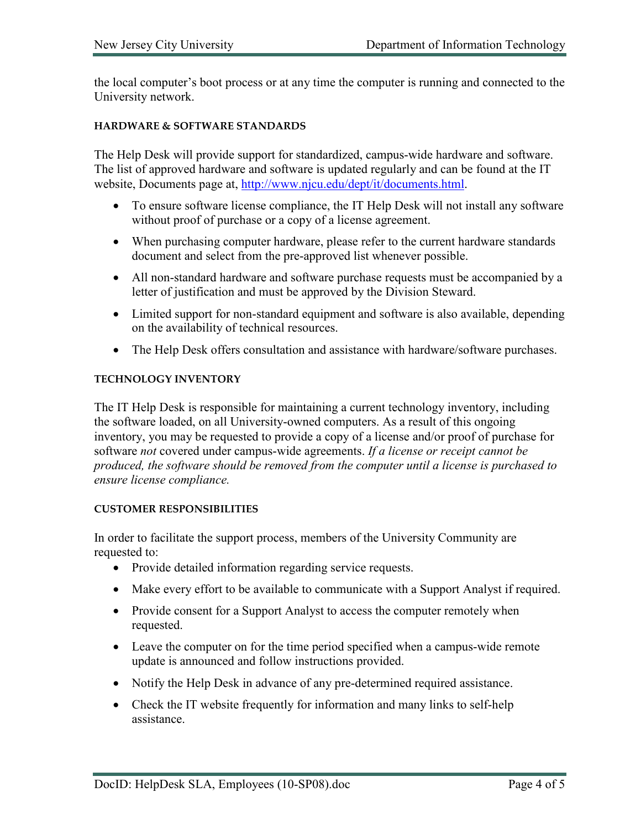the local computer's boot process or at any time the computer is running and connected to the University network.

#### HARDWARE & SOFTWARE STANDARDS

The Help Desk will provide support for standardized, campus-wide hardware and software. The list of approved hardware and software is updated regularly and can be found at the IT website, Documents page at, http://www.njcu.edu/dept/it/documents.html.

- To ensure software license compliance, the IT Help Desk will not install any software without proof of purchase or a copy of a license agreement.
- When purchasing computer hardware, please refer to the current hardware standards document and select from the pre-approved list whenever possible.
- All non-standard hardware and software purchase requests must be accompanied by a letter of justification and must be approved by the Division Steward.
- Limited support for non-standard equipment and software is also available, depending on the availability of technical resources.
- The Help Desk offers consultation and assistance with hardware/software purchases.

#### TECHNOLOGY INVENTORY

The IT Help Desk is responsible for maintaining a current technology inventory, including the software loaded, on all University-owned computers. As a result of this ongoing inventory, you may be requested to provide a copy of a license and/or proof of purchase for software not covered under campus-wide agreements. If a license or receipt cannot be produced, the software should be removed from the computer until a license is purchased to ensure license compliance.

#### CUSTOMER RESPONSIBILITIES

In order to facilitate the support process, members of the University Community are requested to:

- Provide detailed information regarding service requests.
- Make every effort to be available to communicate with a Support Analyst if required.
- Provide consent for a Support Analyst to access the computer remotely when requested.
- Leave the computer on for the time period specified when a campus-wide remote update is announced and follow instructions provided.
- Notify the Help Desk in advance of any pre-determined required assistance.
- Check the IT website frequently for information and many links to self-help assistance.